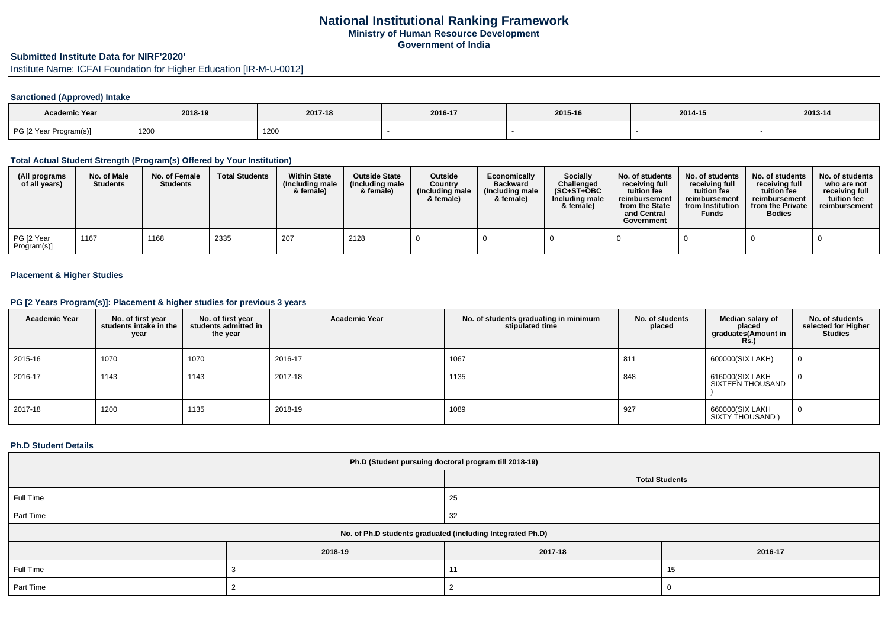# **National Institutional Ranking FrameworkMinistry of Human Resource DevelopmentGovernment of India**

# **Submitted Institute Data for NIRF'2020'**

Institute Name: ICFAI Foundation for Higher Education [IR-M-U-0012]

## **Sanctioned (Approved) Intake**

| Academic Year          | 2018-19 | 2017-18 | 2016-17 | 2015-16 | 2014-15 | 2013-14 |
|------------------------|---------|---------|---------|---------|---------|---------|
| PG [2 Year Program(s)] | 1200    | 1200    |         |         |         |         |

#### **Total Actual Student Strength (Program(s) Offered by Your Institution)**

| (All programs<br>of all years) | No. of Male<br><b>Students</b> | No. of Female<br><b>Students</b> | <b>Total Students</b> | <b>Within State</b><br>(Including male<br>& female) | <b>Outside State</b><br>(Including male<br>& female) | Outside<br>Country<br>(Including male<br>& female) | Economically<br><b>Backward</b><br>(Including male<br>& female) | Socially<br>Challenged<br>$(SC+ST+OBC)$<br>Including male<br>& female) | No. of students<br>receiving full<br>tuition fee<br>reimbursement<br>from the State<br>and Central<br>Government | No. of students<br>receiving full<br>tuition fee<br>reimbursement<br>from Institution<br><b>Funds</b> | No. of students<br>receiving full<br>tuition fee<br>reimbursement<br>from the Private<br><b>Bodies</b> | No. of students<br>who are not<br>receiving full<br>tuition fee<br>reimbursement |
|--------------------------------|--------------------------------|----------------------------------|-----------------------|-----------------------------------------------------|------------------------------------------------------|----------------------------------------------------|-----------------------------------------------------------------|------------------------------------------------------------------------|------------------------------------------------------------------------------------------------------------------|-------------------------------------------------------------------------------------------------------|--------------------------------------------------------------------------------------------------------|----------------------------------------------------------------------------------|
| PG [2 Year<br>Program(s)]      | 1167                           | 1168                             | 2335                  | 207                                                 | 2128                                                 |                                                    |                                                                 |                                                                        |                                                                                                                  |                                                                                                       |                                                                                                        |                                                                                  |

#### **Placement & Higher Studies**

### **PG [2 Years Program(s)]: Placement & higher studies for previous 3 years**

| <b>Academic Year</b> | No. of first year<br>students intake in the<br>year | No. of first year<br>students admitted in<br>the year | <b>Academic Year</b> | No. of students graduating in minimum<br>stipulated time | No. of students<br>placed | Median salary of<br>placed<br>graduates(Amount in<br>Rs.) | No. of students<br>selected for Higher<br><b>Studies</b> |
|----------------------|-----------------------------------------------------|-------------------------------------------------------|----------------------|----------------------------------------------------------|---------------------------|-----------------------------------------------------------|----------------------------------------------------------|
| 2015-16              | 1070                                                | 1070                                                  | 2016-17              | 1067                                                     | 811                       | 600000(SIX LAKH)                                          | - (1                                                     |
| 2016-17              | 1143                                                | 1143                                                  | 2017-18              | 1135                                                     | 848                       | 616000(SIX LAKH<br>SIXTEEN THOUSAND                       |                                                          |
| 2017-18              | 1200                                                | 1135                                                  | 2018-19              | 1089                                                     | 927                       | 660000(SIX LAKH<br>SIXTY THOUSAND )                       |                                                          |

#### **Ph.D Student Details**

| Ph.D (Student pursuing doctoral program till 2018-19)      |         |                       |         |  |  |
|------------------------------------------------------------|---------|-----------------------|---------|--|--|
|                                                            |         | <b>Total Students</b> |         |  |  |
| Full Time                                                  |         | 25                    |         |  |  |
| Part Time                                                  |         | 32                    |         |  |  |
| No. of Ph.D students graduated (including Integrated Ph.D) |         |                       |         |  |  |
|                                                            | 2018-19 | 2017-18               | 2016-17 |  |  |
| Full Time                                                  |         | 11                    | 15      |  |  |
| Part Time                                                  |         |                       |         |  |  |